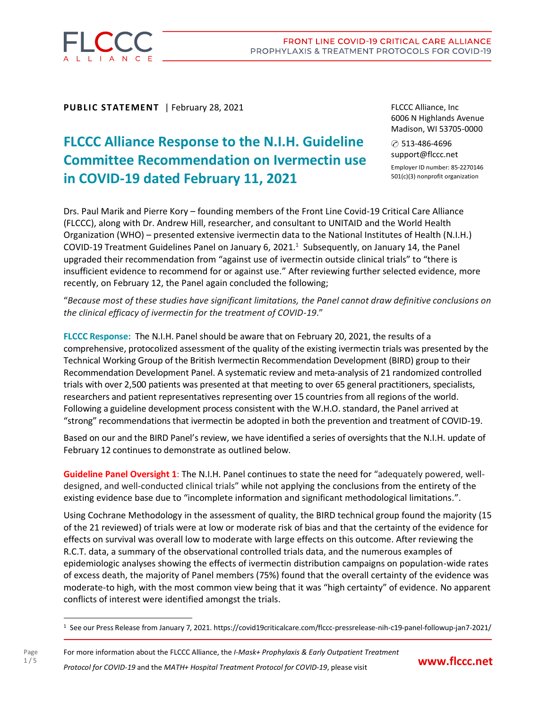

**PUBLIC STATEMENT** | February 28, 2021

# **FLCCC Alliance Response to the N.I.H. Guideline Committee Recommendation on Ivermectin use in COVID-19 dated February 11, 2021**

FLCCC Alliance, Inc 6006 N Highlands Avenue Madison, WI 53705-0000

✆ 513-486-4696 support@flccc.net Employer ID number: 85-2270146 501(c)(3) nonprofit organization

Drs. Paul Marik and Pierre Kory – founding members of the Front Line Covid-19 Critical Care Alliance (FLCCC), along with Dr. Andrew Hill, researcher, and consultant to UNITAID and the World Health Organization (WHO) – presented extensive ivermectin data to the National Institutes of Health (N.I.H.) COVID-19 Treatment Guidelines Panel on January 6, 2021.<sup>1</sup> Subsequently, on January 14, the Panel upgraded their recommendation from "against use of ivermectin outside clinical trials" to "there is insufficient evidence to recommend for or against use." After reviewing further selected evidence, more recently, on February 12, the Panel again concluded the following;

"*Because most of these studies have significant limitations, the Panel cannot draw definitive conclusions on the clinical efficacy of ivermectin for the treatment of COVID-19*."

**FLCCC Response:** The N.I.H. Panel should be aware that on February 20, 2021, the results of a comprehensive, protocolized assessment of the quality of the existing ivermectin trials was presented by the Technical Working Group of the British Ivermectin Recommendation Development (BIRD) group to their Recommendation Development Panel. A systematic review and meta-analysis of 21 randomized controlled trials with over 2,500 patients was presented at that meeting to over 65 general practitioners, specialists, researchers and patient representatives representing over 15 countries from all regions of the world. Following a guideline development process consistent with the W.H.O. standard, the Panel arrived at "strong" recommendations that ivermectin be adopted in both the prevention and treatment of COVID-19.

Based on our and the BIRD Panel's review, we have identified a series of oversights that the N.I.H. update of February 12 continues to demonstrate as outlined below.

**Guideline Panel Oversight 1**: The N.I.H. Panel continues to state the need for "adequately powered, welldesigned, and well-conducted clinical trials" while not applying the conclusions from the entirety of the existing evidence base due to "incomplete information and significant methodological limitations.".

Using Cochrane Methodology in the assessment of quality, the BIRD technical group found the majority (15 of the 21 reviewed) of trials were at low or moderate risk of bias and that the certainty of the evidence for effects on survival was overall low to moderate with large effects on this outcome. After reviewing the R.C.T. data, a summary of the observational controlled trials data, and the numerous examples of epidemiologic analyses showing the effects of ivermectin distribution campaigns on population-wide rates of excess death, the majority of Panel members (75%) found that the overall certainty of the evidence was moderate-to high, with the most common view being that it was "high certainty" of evidence. No apparent conflicts of interest were identified amongst the trials.

For more information about the FLCCC Alliance, the *I-Mask+ Prophylaxis & Early Outpatient Treatment Protocol for COVID-19* and the *MATH+ Hospital Treatment Protocol for COVID-19*, please visit



<sup>1</sup> See our Press Release from January 7, 2021. https://covid19criticalcare.com/flccc-pressrelease-nih-c19-panel-followup-jan7-2021/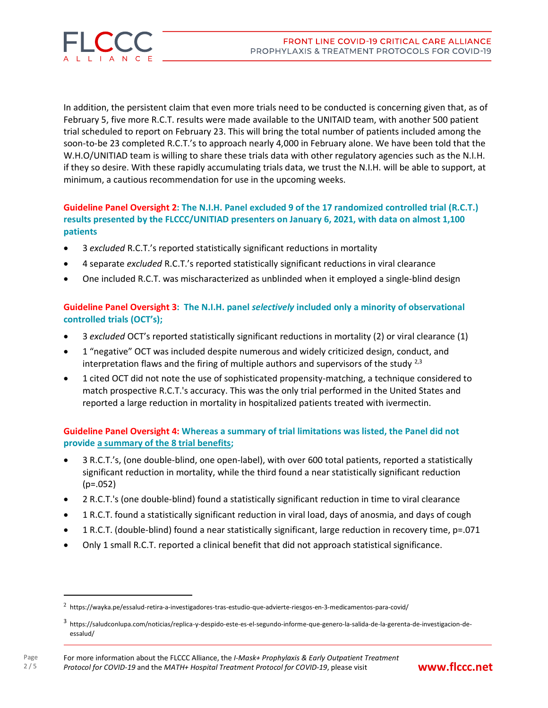

In addition, the persistent claim that even more trials need to be conducted is concerning given that, as of February 5, five more R.C.T. results were made available to the UNITAID team, with another 500 patient trial scheduled to report on February 23. This will bring the total number of patients included among the soon-to-be 23 completed R.C.T.'s to approach nearly 4,000 in February alone. We have been told that the W.H.O/UNITIAD team is willing to share these trials data with other regulatory agencies such as the N.I.H. if they so desire. With these rapidly accumulating trials data, we trust the N.I.H. will be able to support, at minimum, a cautious recommendation for use in the upcoming weeks.

### **Guideline Panel Oversight 2: The N.I.H. Panel excluded 9 of the 17 randomized controlled trial (R.C.T.) results presented by the FLCCC/UNITIAD presenters on January 6, 2021, with data on almost 1,100 patients**

- 3 *excluded* R.C.T.'s reported statistically significant reductions in mortality
- 4 separate *excluded* R.C.T.'s reported statistically significant reductions in viral clearance
- One included R.C.T. was mischaracterized as unblinded when it employed a single-blind design

### **Guideline Panel Oversight 3: The N.I.H. panel** *selectively* **included only a minority of observational controlled trials (OCT's);**

- 3 *excluded* OCT's reported statistically significant reductions in mortality (2) or viral clearance (1)
- 1 "negative" OCT was included despite numerous and widely criticized design, conduct, and interpretation flaws and the firing of multiple authors and supervisors of the study  $^{2,3}$
- 1 cited OCT did not note the use of sophisticated propensity-matching, a technique considered to match prospective R.C.T.'s accuracy. This was the only trial performed in the United States and reported a large reduction in mortality in hospitalized patients treated with ivermectin.

**Guideline Panel Oversight 4: Whereas a summary of trial limitations was listed, the Panel did not provide a summary of the 8 trial benefits;**

- 3 R.C.T.'s, (one double-blind, one open-label), with over 600 total patients, reported a statistically significant reduction in mortality, while the third found a near statistically significant reduction  $(p=.052)$
- 2 R.C.T.'s (one double-blind) found a statistically significant reduction in time to viral clearance
- 1 R.C.T. found a statistically significant reduction in viral load, days of anosmia, and days of cough
- 1 R.C.T. (double-blind) found a near statistically significant, large reduction in recovery time, p=.071
- Only 1 small R.C.T. reported a clinical benefit that did not approach statistical significance.



 $2$  <https://wayka.pe/essalud-retira-a-investigadores-tras-estudio-que-advierte-riesgos-en-3-medicamentos-para-covid/>

<sup>3</sup> [https://saludconlupa.com/noticias/replica-y-despido-este-es-el-segundo-informe-que-genero-la-salida-de-la-gerenta-de-investigacion-de](https://saludconlupa.com/noticias/replica-y-despido-este-es-el-segundo-informe-que-genero-la-salida-de-la-gerenta-de-investigacion-de-essalud)[essalud/](https://saludconlupa.com/noticias/replica-y-despido-este-es-el-segundo-informe-que-genero-la-salida-de-la-gerenta-de-investigacion-de-essalud)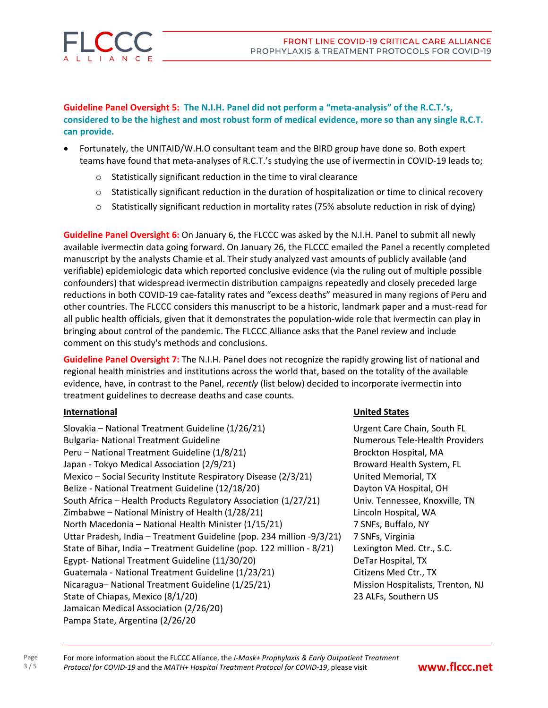

**Guideline Panel Oversight 5: The N.I.H. Panel did not perform a "meta-analysis" of the R.C.T.'s,** considered to be the highest and most robust form of medical evidence, more so than any single R.C.T. **can provide.**

- Fortunately, the UNITAID/W.H.O consultant team and the BIRD group have done so. Both expert teams have found that meta-analyses of R.C.T.'s studying the use of ivermectin in COVID-19 leads to;
	- o Statistically significant reduction in the time to viral clearance
	- $\circ$  Statistically significant reduction in the duration of hospitalization or time to clinical recovery
	- o Statistically significant reduction in mortality rates (75% absolute reduction in risk of dying)

**Guideline Panel Oversight 6:** On January 6, the FLCCC was asked by the N.I.H. Panel to submit all newly available ivermectin data going forward. On January 26, the FLCCC emailed the Panel a recently completed manuscript by the analysts Chamie et al. Their study analyzed vast amounts of publicly available (and verifiable) epidemiologic data which reported conclusive evidence (via the ruling out of multiple possible confounders) that widespread ivermectin distribution campaigns repeatedly and closely preceded large reductions in both COVID-19 cae-fatality rates and "excess deaths" measured in many regions of Peru and other countries. The FLCCC considers this manuscript to be a historic, landmark paper and a must-read for all public health officials, given that it demonstrates the population-wide role that ivermectin can play in bringing about control of the pandemic. The FLCCC Alliance asks that the Panel review and include comment on this study's methods and conclusions.

**Guideline Panel Oversight 7:** The N.I.H. Panel does not recognize the rapidly growing list of national and regional health ministries and institutions across the world that, based on the totality of the available evidence, have, in contrast to the Panel, *recently* (list below) decided to incorporate ivermectin into treatment guidelines to decrease deaths and case counts.

Slovakia – National Treatment Guideline (1/26/21) Urgent Care Chain, South FL Bulgaria- National Treatment Guideline Numerous Tele-Health Providers Peru – National Treatment Guideline (1/8/21) Brockton Hospital, MA Japan - Tokyo Medical Association (2/9/21) **Broward Health System, FL** Mexico – Social Security Institute Respiratory Disease (2/3/21) United Memorial, TX Belize - National Treatment Guideline (12/18/20) Dayton VA Hospital, OH South Africa – Health Products Regulatory Association (1/27/21) Univ. Tennessee, Knoxville, TN Zimbabwe – National Ministry of Health (1/28/21) Lincoln Hospital, WA North Macedonia – National Health Minister (1/15/21) 7 SNFs, Buffalo, NY Uttar Pradesh, India – Treatment Guideline (pop. 234 million -9/3/21) 7 SNFs, Virginia State of Bihar, India - Treatment Guideline (pop. 122 million - 8/21) Lexington Med. Ctr., S.C. Egypt- National Treatment Guideline (11/30/20) DeTar Hospital, TX Guatemala - National Treatment Guideline (1/23/21) Citizens Med Ctr., TX Nicaragua– National Treatment Guideline (1/25/21) Mission Hospitalists, Trenton, NJ State of Chiapas, Mexico (8/1/20) 23 ALFs, Southern US Jamaican Medical Association (2/26/20) Pampa State, Argentina (2/26/20

### **International United States**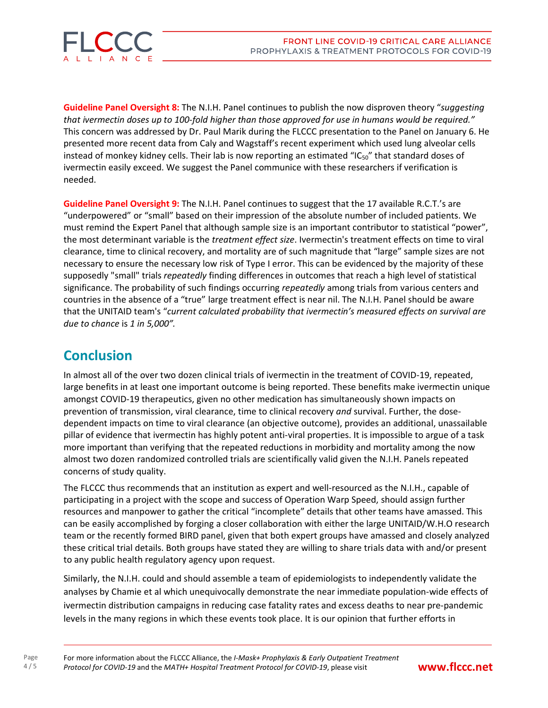

**Guideline Panel Oversight 8:** The N.I.H. Panel continues to publish the now disproven theory "*suggesting that ivermectin doses up to 100-fold higher than those approved for use in humans would be required."* This concern was addressed by Dr. Paul Marik during the FLCCC presentation to the Panel on January 6. He presented more recent data from Caly and Wagstaff's recent experiment which used lung alveolar cells instead of monkey kidney cells. Their lab is now reporting an estimated "IC<sub>50</sub>" that standard doses of ivermectin easily exceed. We suggest the Panel communice with these researchers if verification is needed.

**Guideline Panel Oversight 9:** The N.I.H. Panel continues to suggest that the 17 available R.C.T.'s are "underpowered" or "small" based on their impression of the absolute number of included patients. We must remind the Expert Panel that although sample size is an important contributor to statistical "power", the most determinant variable is the *treatment effect size*. Ivermectin's treatment effects on time to viral clearance, time to clinical recovery, and mortality are of such magnitude that "large" sample sizes are not necessary to ensure the necessary low risk of Type I error. This can be evidenced by the majority of these supposedly "small" trials *repeatedly* finding differences in outcomes that reach a high level of statistical significance. The probability of such findings occurring *repeatedly* among trials from various centers and countries in the absence of a "true" large treatment effect is near nil. The N.I.H. Panel should be aware that the UNITAID team's "*current calculated probability that ivermectin's measured effects on survival are due to chance* is *1 in 5,000".*

## **Conclusion**

In almost all of the over two dozen clinical trials of ivermectin in the treatment of COVID-19, repeated, large benefits in at least one important outcome is being reported. These benefits make ivermectin unique amongst COVID-19 therapeutics, given no other medication has simultaneously shown impacts on prevention of transmission, viral clearance, time to clinical recovery *and* survival. Further, the dosedependent impacts on time to viral clearance (an objective outcome), provides an additional, unassailable pillar of evidence that ivermectin has highly potent anti-viral properties. It is impossible to argue of a task more important than verifying that the repeated reductions in morbidity and mortality among the now almost two dozen randomized controlled trials are scientifically valid given the N.I.H. Panels repeated concerns of study quality.

The FLCCC thus recommends that an institution as expert and well-resourced as the N.I.H., capable of participating in a project with the scope and success of Operation Warp Speed, should assign further resources and manpower to gather the critical "incomplete" details that other teams have amassed. This can be easily accomplished by forging a closer collaboration with either the large UNITAID/W.H.O research team or the recently formed BIRD panel, given that both expert groups have amassed and closely analyzed these critical trial details. Both groups have stated they are willing to share trials data with and/or present to any public health regulatory agency upon request.

Similarly, the N.I.H. could and should assemble a team of epidemiologists to independently validate the analyses by Chamie et al which unequivocally demonstrate the near immediate population-wide effects of ivermectin distribution campaigns in reducing case fatality rates and excess deaths to near pre-pandemic levels in the many regions in which these events took place. It is our opinion that further efforts in